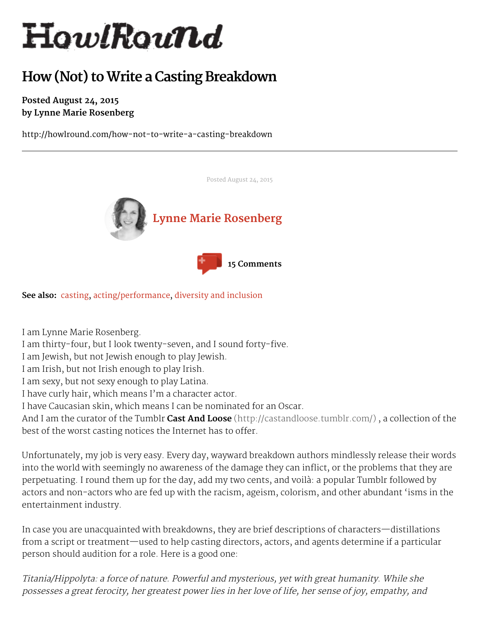# HowlRound

# **How (Not) toWrite a Casting Breakdown**

#### **Posted August 24, 2015 by Lynne Marie Rosenberg**

http://howlround.com/how-not-to-write-a-casting-breakdown



**See also:** [casting](http://howlround.com/tags/casting), [acting/performance](http://howlround.com/tags/actingperformance), diversity and [inclusion](http://howlround.com/tags/diversity)

I am Lynne Marie Rosenberg.

I am thirty-four, but I look twenty-seven, and I sound forty-five.

I am Jewish, but not Jewish enough to play Jewish.

I am Irish, but not Irish enough to play Irish.

I am sexy, but not sexy enough to play Latina.

I have curly hair, which means I'm a character actor.

I have Caucasian skin, which means I can be nominated for an Oscar.

And I am the curator of the Tumblr **Cast And Loose** [\(http://castandloose.tumblr.com/\)](http://castandloose.tumblr.com/) , a collection of the best of the worst casting notices the Internet has to offer.

Posted August 24, 2015

Unfortunately, my job is very easy. Every day, wayward breakdown authors mindlessly release their words into the world with seemingly no awareness of the damage they can inflict, or the problems that they are perpetuating. I round them up for the day, add my two cents, and voilà: a popular Tumblr followed by actors and non-actors who are fed up with the racism, ageism, colorism, and other abundant 'isms in the entertainment industry.

In case you are unacquainted with breakdowns, they are brief descriptions of characters—distillations from a script or treatment—used to help casting directors, actors, and agents determine if a particular person should audition for a role. Here is a good one:

Titania/Hippolyta: <sup>a</sup> force of nature. Powerful and mysterious, yet with great humanity. While she possesses <sup>a</sup> great ferocity, her greatest power lies in her love of life, her sense of joy, empathy, and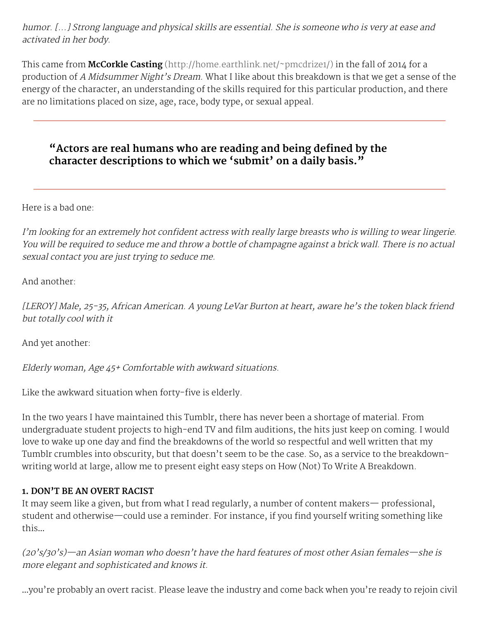humor. [...] Strong language and physical skills are essential. She is someone who is very at ease and activated in her body.

This came from **McCorkle Casting** [\(http://home.earthlink.net/~pmcdrize1/\)](http://home.earthlink.net/~pmcdrize1/) in the fall of 2014 for a production of A Midsummer Night's Dream. What I like about this breakdown is that we get a sense of the energy of the character, an understanding of the skills required for this particular production, and there are no limitations placed on size, age, race, body type, or sexual appeal.

## **"Actors are real humans who are reading and being defined by the character descriptions to which we 'submit' on a daily basis."**

Here is a bad one:

<sup>I</sup>'m looking for an extremely hot confident actress with really large breasts who is willing to wear lingerie. You will be required to seduce me and throw <sup>a</sup> bottle of champagne against <sup>a</sup> brick wall. There is no actual sexual contact you are just trying to seduce me.

And another:

[LEROY] Male, 25-35, African American. <sup>A</sup> young LeVar Burton at heart, aware he's the token black friend but totally cool with it

And yet another:

Elderly woman, Age 45+ Comfortable with awkward situations.

Like the awkward situation when forty-five is elderly.

In the two years I have maintained this Tumblr, there has never been a shortage of material. From undergraduate student projects to high-end TV and film auditions, the hits just keep on coming. I would love to wake up one day and find the breakdowns of the world so respectful and well written that my Tumblr crumbles into obscurity, but that doesn't seem to be the case. So, as a service to the breakdownwriting world at large, allow me to present eight easy steps on How (Not) To Write A Breakdown.

#### **1. DON'T BE AN OVERT RACIST**

It may seem like a given, but from what I read regularly, a number of content makers— professional, student and otherwise—could use a reminder. For instance, if you find yourself writing something like this…

(20's/30's)—an Asian woman who doesn't have the hard features of most other Asian females—she is more elegant and sophisticated and knows it.

…you're probably an overt racist. Please leave the industry and come back when you're ready to rejoin civil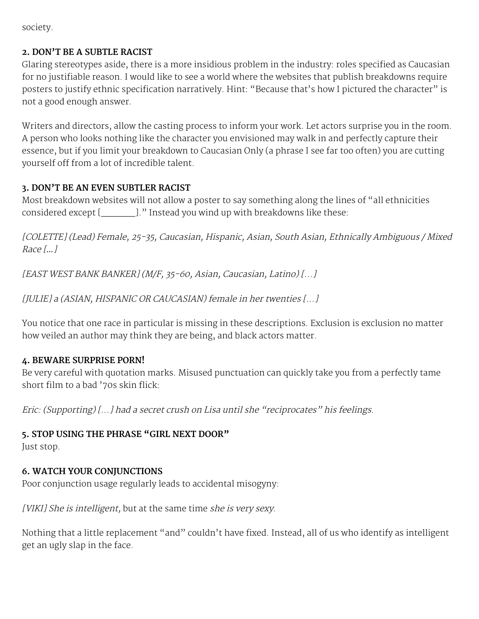society.

#### **2. DON'T BE A SUBTLE RACIST**

Glaring stereotypes aside, there is a more insidious problem in the industry: roles specified as Caucasian for no justifiable reason. I would like to see a world where the websites that publish breakdowns require posters to justify ethnic specification narratively. Hint: "Because that's how I pictured the character" is not a good enough answer.

Writers and directors, allow the casting process to inform your work. Let actors surprise you in the room. A person who looks nothing like the character you envisioned may walk in and perfectly capture their essence, but if you limit your breakdown to Caucasian Only (a phrase I see far too often) you are cutting yourself off from a lot of incredible talent.

#### **3. DON'T BE AN EVEN SUBTLER RACIST**

Most breakdown websites will not allow a poster to say something along the lines of "all ethnicities considered except [\_\_\_\_\_\_]." Instead you wind up with breakdowns like these:

[COLETTE] (Lead) Female, 25-35, Caucasian, Hispanic, Asian, South Asian, Ethnically Ambiguous / Mixed Race [*…*]

[EAST WEST BANK BANKER] (M/F, 35-60, Asian, Caucasian, Latino) [...]

[JULIE] <sup>a</sup> (ASIAN, HISPANIC OR CAUCASIAN) female in her twenties [...]

You notice that one race in particular is missing in these descriptions. Exclusion is exclusion no matter how veiled an author may think they are being, and black actors matter.

#### **4. BEWARE SURPRISE PORN!**

Be very careful with quotation marks. Misused punctuation can quickly take you from a perfectly tame short film to a bad '70s skin flick:

Eric: (Supporting) [...] had <sup>a</sup> secret crush on Lisa until she "reciprocates" his feelings.

#### **5. STOP USING THE PHRASE "GIRL NEXT DOOR"**

Just stop.

#### **6. WATCH YOUR CONJUNCTIONS**

Poor conjunction usage regularly leads to accidental misogyny:

[VIKI] She is intelligent, but at the same time she is very sexy.

Nothing that a little replacement "and" couldn't have fixed. Instead, all of us who identify as intelligent get an ugly slap in the face.